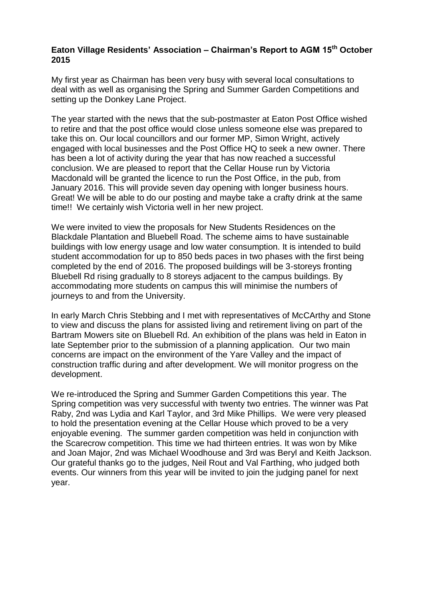## **Eaton Village Residents' Association – Chairman's Report to AGM 15th October 2015**

My first year as Chairman has been very busy with several local consultations to deal with as well as organising the Spring and Summer Garden Competitions and setting up the Donkey Lane Project.

The year started with the news that the sub-postmaster at Eaton Post Office wished to retire and that the post office would close unless someone else was prepared to take this on. Our local councillors and our former MP, Simon Wright, actively engaged with local businesses and the Post Office HQ to seek a new owner. There has been a lot of activity during the year that has now reached a successful conclusion. We are pleased to report that the Cellar House run by Victoria Macdonald will be granted the licence to run the Post Office, in the pub, from January 2016. This will provide seven day opening with longer business hours. Great! We will be able to do our posting and maybe take a crafty drink at the same time!! We certainly wish Victoria well in her new project.

We were invited to view the proposals for New Students Residences on the Blackdale Plantation and Bluebell Road. The scheme aims to have sustainable buildings with low energy usage and low water consumption. It is intended to build student accommodation for up to 850 beds paces in two phases with the first being completed by the end of 2016. The proposed buildings will be 3-storeys fronting Bluebell Rd rising gradually to 8 storeys adjacent to the campus buildings. By accommodating more students on campus this will minimise the numbers of journeys to and from the University.

In early March Chris Stebbing and I met with representatives of McCArthy and Stone to view and discuss the plans for assisted living and retirement living on part of the Bartram Mowers site on Bluebell Rd. An exhibition of the plans was held in Eaton in late September prior to the submission of a planning application. Our two main concerns are impact on the environment of the Yare Valley and the impact of construction traffic during and after development. We will monitor progress on the development.

We re-introduced the Spring and Summer Garden Competitions this year. The Spring competition was very successful with twenty two entries. The winner was Pat Raby, 2nd was Lydia and Karl Taylor, and 3rd Mike Phillips. We were very pleased to hold the presentation evening at the Cellar House which proved to be a very enjoyable evening. The summer garden competition was held in conjunction with the Scarecrow competition. This time we had thirteen entries. It was won by Mike and Joan Major, 2nd was Michael Woodhouse and 3rd was Beryl and Keith Jackson. Our grateful thanks go to the judges, Neil Rout and Val Farthing, who judged both events. Our winners from this year will be invited to join the judging panel for next year.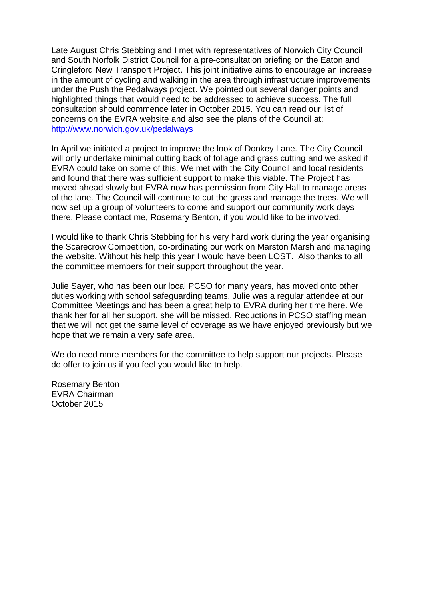Late August Chris Stebbing and I met with representatives of Norwich City Council and South Norfolk District Council for a pre-consultation briefing on the Eaton and Cringleford New Transport Project. This joint initiative aims to encourage an increase in the amount of cycling and walking in the area through infrastructure improvements under the Push the Pedalways project. We pointed out several danger points and highlighted things that would need to be addressed to achieve success. The full consultation should commence later in October 2015. You can read our list of concerns on the EVRA website and also see the plans of the Council at: <http://www.norwich.gov.uk/pedalways>

In April we initiated a project to improve the look of Donkey Lane. The City Council will only undertake minimal cutting back of foliage and grass cutting and we asked if EVRA could take on some of this. We met with the City Council and local residents and found that there was sufficient support to make this viable. The Project has moved ahead slowly but EVRA now has permission from City Hall to manage areas of the lane. The Council will continue to cut the grass and manage the trees. We will now set up a group of volunteers to come and support our community work days there. Please contact me, Rosemary Benton, if you would like to be involved.

I would like to thank Chris Stebbing for his very hard work during the year organising the Scarecrow Competition, co-ordinating our work on Marston Marsh and managing the website. Without his help this year I would have been LOST. Also thanks to all the committee members for their support throughout the year.

Julie Sayer, who has been our local PCSO for many years, has moved onto other duties working with school safeguarding teams. Julie was a regular attendee at our Committee Meetings and has been a great help to EVRA during her time here. We thank her for all her support, she will be missed. Reductions in PCSO staffing mean that we will not get the same level of coverage as we have enjoyed previously but we hope that we remain a very safe area.

We do need more members for the committee to help support our projects. Please do offer to join us if you feel you would like to help.

Rosemary Benton EVRA Chairman October 2015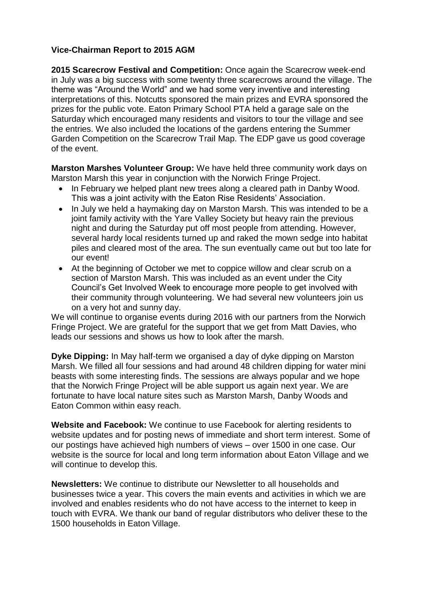## **Vice-Chairman Report to 2015 AGM**

**2015 Scarecrow Festival and Competition:** Once again the Scarecrow week-end in July was a big success with some twenty three scarecrows around the village. The theme was "Around the World" and we had some very inventive and interesting interpretations of this. Notcutts sponsored the main prizes and EVRA sponsored the prizes for the public vote. Eaton Primary School PTA held a garage sale on the Saturday which encouraged many residents and visitors to tour the village and see the entries. We also included the locations of the gardens entering the Summer Garden Competition on the Scarecrow Trail Map. The EDP gave us good coverage of the event.

**Marston Marshes Volunteer Group:** We have held three community work days on Marston Marsh this year in conjunction with the Norwich Fringe Project.

- In February we helped plant new trees along a cleared path in Danby Wood. This was a joint activity with the Eaton Rise Residents' Association.
- In July we held a haymaking day on Marston Marsh. This was intended to be a joint family activity with the Yare Valley Society but heavy rain the previous night and during the Saturday put off most people from attending. However, several hardy local residents turned up and raked the mown sedge into habitat piles and cleared most of the area. The sun eventually came out but too late for our event!
- At the beginning of October we met to coppice willow and clear scrub on a section of Marston Marsh. This was included as an event under the City Council's Get Involved Week to encourage more people to get involved with their community through volunteering. We had several new volunteers join us on a very hot and sunny day.

We will continue to organise events during 2016 with our partners from the Norwich Fringe Project. We are grateful for the support that we get from Matt Davies, who leads our sessions and shows us how to look after the marsh.

**Dyke Dipping:** In May half-term we organised a day of dyke dipping on Marston Marsh. We filled all four sessions and had around 48 children dipping for water mini beasts with some interesting finds. The sessions are always popular and we hope that the Norwich Fringe Project will be able support us again next year. We are fortunate to have local nature sites such as Marston Marsh, Danby Woods and Eaton Common within easy reach.

**Website and Facebook:** We continue to use Facebook for alerting residents to website updates and for posting news of immediate and short term interest. Some of our postings have achieved high numbers of views – over 1500 in one case. Our website is the source for local and long term information about Eaton Village and we will continue to develop this.

**Newsletters:** We continue to distribute our Newsletter to all households and businesses twice a year. This covers the main events and activities in which we are involved and enables residents who do not have access to the internet to keep in touch with EVRA. We thank our band of regular distributors who deliver these to the 1500 households in Eaton Village.